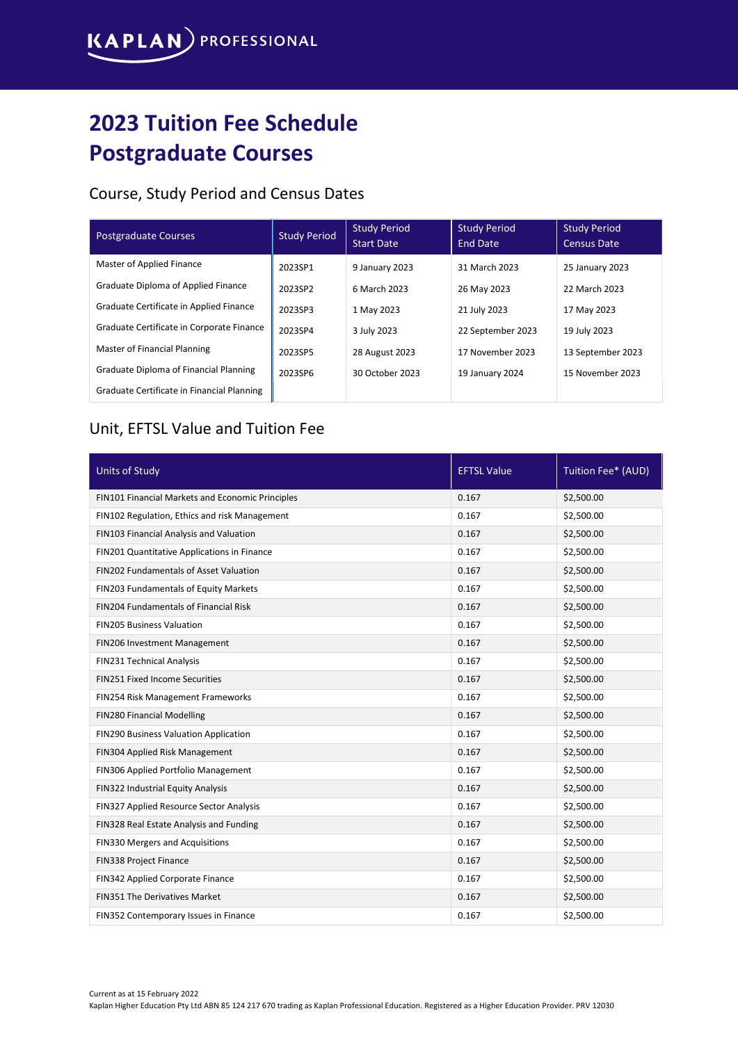## 2023 Tuition Fee Schedule Postgraduate Courses

## Course, Study Period and Census Dates

| <b>Postgraduate Courses</b>                   | <b>Study Period</b> | <b>Study Period</b><br><b>Start Date</b> | <b>Study Period</b><br>End Date | <b>Study Period</b><br><b>Census Date</b> |
|-----------------------------------------------|---------------------|------------------------------------------|---------------------------------|-------------------------------------------|
| Master of Applied Finance                     | 2023SP1             | 9 January 2023                           | 31 March 2023                   | 25 January 2023                           |
| Graduate Diploma of Applied Finance           | 2023SP2             | 6 March 2023                             | 26 May 2023                     | 22 March 2023                             |
| Graduate Certificate in Applied Finance       | 2023SP3             | 1 May 2023                               | 21 July 2023                    | 17 May 2023                               |
| Graduate Certificate in Corporate Finance     | 2023SP4             | 3 July 2023                              | 22 September 2023               | 19 July 2023                              |
| Master of Financial Planning                  | 2023SP5             | 28 August 2023                           | 17 November 2023                | 13 September 2023                         |
| <b>Graduate Diploma of Financial Planning</b> | 2023SP6             | 30 October 2023                          | 19 January 2024                 | 15 November 2023                          |
| Graduate Certificate in Financial Planning    |                     |                                          |                                 |                                           |

## Unit, EFTSL Value and Tuition Fee

| <b>Units of Study</b>                            | <b>EFTSL Value</b> | Tuition Fee* (AUD) |
|--------------------------------------------------|--------------------|--------------------|
| FIN101 Financial Markets and Economic Principles | 0.167              | \$2,500.00         |
| FIN102 Regulation, Ethics and risk Management    | 0.167              | \$2,500.00         |
| FIN103 Financial Analysis and Valuation          | 0.167              | \$2,500.00         |
| FIN201 Quantitative Applications in Finance      | 0.167              | \$2,500.00         |
| FIN202 Fundamentals of Asset Valuation           | 0.167              | \$2,500.00         |
| FIN203 Fundamentals of Equity Markets            | 0.167              | \$2,500.00         |
| FIN204 Fundamentals of Financial Risk            | 0.167              | \$2,500.00         |
| <b>FIN205 Business Valuation</b>                 | 0.167              | \$2,500.00         |
| FIN206 Investment Management                     | 0.167              | \$2,500.00         |
| FIN231 Technical Analysis                        | 0.167              | \$2,500.00         |
| <b>FIN251 Fixed Income Securities</b>            | 0.167              | \$2,500.00         |
| FIN254 Risk Management Frameworks                | 0.167              | \$2,500.00         |
| FIN280 Financial Modelling                       | 0.167              | \$2,500.00         |
| FIN290 Business Valuation Application            | 0.167              | \$2,500.00         |
| FIN304 Applied Risk Management                   | 0.167              | \$2,500.00         |
| FIN306 Applied Portfolio Management              | 0.167              | \$2,500.00         |
| FIN322 Industrial Equity Analysis                | 0.167              | \$2,500.00         |
| FIN327 Applied Resource Sector Analysis          | 0.167              | \$2,500.00         |
| FIN328 Real Estate Analysis and Funding          | 0.167              | \$2,500.00         |
| FIN330 Mergers and Acquisitions                  | 0.167              | \$2,500.00         |
| FIN338 Project Finance                           | 0.167              | \$2,500.00         |
| FIN342 Applied Corporate Finance                 | 0.167              | \$2,500.00         |
| FIN351 The Derivatives Market                    | 0.167              | \$2,500.00         |
| FIN352 Contemporary Issues in Finance            | 0.167              | \$2,500.00         |